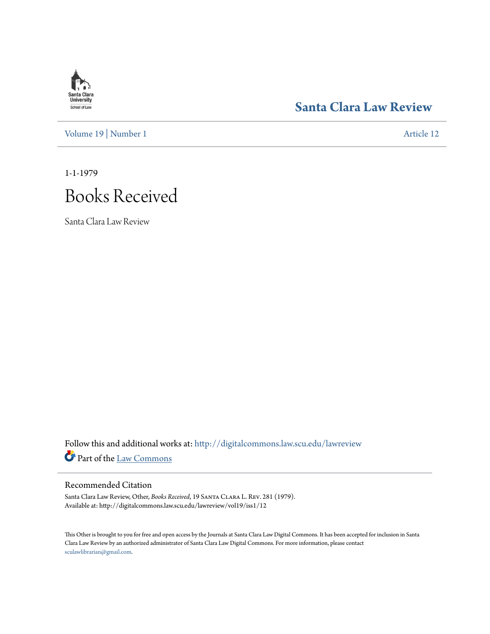# **Santa Clara**<br>**University** School of Law

### **[Santa Clara Law Review](http://digitalcommons.law.scu.edu/lawreview?utm_source=digitalcommons.law.scu.edu%2Flawreview%2Fvol19%2Fiss1%2F12&utm_medium=PDF&utm_campaign=PDFCoverPages)**

[Volume 19](http://digitalcommons.law.scu.edu/lawreview/vol19?utm_source=digitalcommons.law.scu.edu%2Flawreview%2Fvol19%2Fiss1%2F12&utm_medium=PDF&utm_campaign=PDFCoverPages) | [Number 1](http://digitalcommons.law.scu.edu/lawreview/vol19/iss1?utm_source=digitalcommons.law.scu.edu%2Flawreview%2Fvol19%2Fiss1%2F12&utm_medium=PDF&utm_campaign=PDFCoverPages) [Article 12](http://digitalcommons.law.scu.edu/lawreview/vol19/iss1/12?utm_source=digitalcommons.law.scu.edu%2Flawreview%2Fvol19%2Fiss1%2F12&utm_medium=PDF&utm_campaign=PDFCoverPages)

1-1-1979

# Books Received

Santa Clara Law Review

Follow this and additional works at: [http://digitalcommons.law.scu.edu/lawreview](http://digitalcommons.law.scu.edu/lawreview?utm_source=digitalcommons.law.scu.edu%2Flawreview%2Fvol19%2Fiss1%2F12&utm_medium=PDF&utm_campaign=PDFCoverPages) Part of the [Law Commons](http://network.bepress.com/hgg/discipline/578?utm_source=digitalcommons.law.scu.edu%2Flawreview%2Fvol19%2Fiss1%2F12&utm_medium=PDF&utm_campaign=PDFCoverPages)

### Recommended Citation

Santa Clara Law Review, Other, *Books Received*, 19 Santa Clara L. Rev. 281 (1979). Available at: http://digitalcommons.law.scu.edu/lawreview/vol19/iss1/12

This Other is brought to you for free and open access by the Journals at Santa Clara Law Digital Commons. It has been accepted for inclusion in Santa Clara Law Review by an authorized administrator of Santa Clara Law Digital Commons. For more information, please contact [sculawlibrarian@gmail.com](mailto:sculawlibrarian@gmail.com).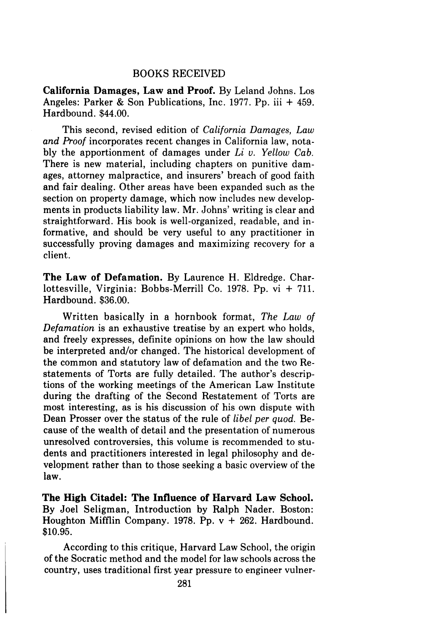### BOOKS RECEIVED

California Damages, Law and Proof. By Leland Johns. Los Angeles: Parker & Son Publications, Inc. 1977. Pp. iii + 459. Hardbound. \$44.00.

This second, revised edition of *California Damages, Law and Proof* incorporates recent changes in California law, notably the apportionment of damages under *Li v. Yellow Cab.* There is new material, including chapters on punitive damages, attorney malpractice, and insurers' breach of good faith and fair dealing. Other areas have been expanded such as the section on property damage, which now includes new developments in products liability law. Mr. Johns' writing is clear and straightforward. His book is well-organized, readable, and informative, and should be very useful to any practitioner in successfully proving damages and maximizing recovery for a client.

The Law of Defamation. By Laurence H. Eldredge. Charlottesville, Virginia: Bobbs-Merrill Co. 1978. Pp. vi + 711. Hardbound. \$36.00.

Written basically in a hornbook format, *The Law of Defamation* is an exhaustive treatise by an expert who holds, and freely expresses, definite opinions on how the law should be interpreted and/or changed. The historical development of the common and statutory law of defamation and the two Restatements of Torts are fully detailed. The author's descriptions of the working meetings of the American Law Institute during the drafting of the Second Restatement of Torts are most interesting, as is his discussion of his own dispute with Dean Prosser over the status of the rule of *libel per quod.* Because of the wealth of detail and the presentation of numerous unresolved controversies, this volume is recommended to students and practitioners interested in legal philosophy and development rather than to those seeking a basic overview of the law.

The High Citadel: The Influence of Harvard Law School. By Joel Seligman, Introduction by Ralph Nader. Boston: Houghton Mifflin Company. 1978. Pp.  $v + 262$ . Hardbound. \$10.95.

According to this critique, Harvard Law School, the origin of the Socratic method and the model for law schools across the country, uses traditional first year pressure to engineer vulner-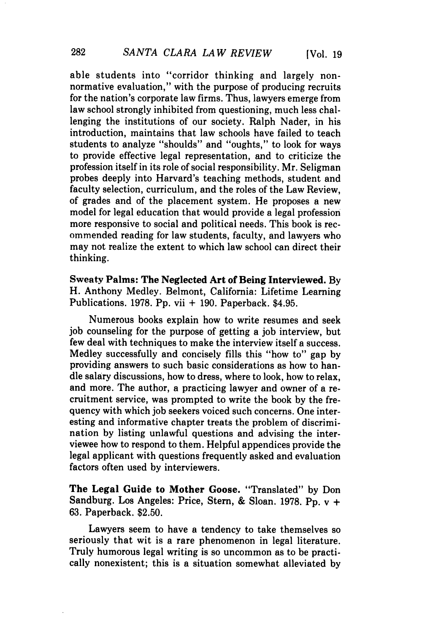able students into "corridor thinking and largely nonnormative evaluation," with the purpose of producing recruits for the nation's corporate law firms. Thus, lawyers emerge from law school strongly inhibited from questioning, much less challenging the institutions of our society. Ralph Nader, in his introduction, maintains that law schools have failed to teach students to analyze "shoulds" and "oughts," to look for ways to provide effective legal representation, and to criticize the profession itself in its role of social responsibility. Mr. Seligman probes deeply into Harvard's teaching methods, student and faculty selection, curriculum, and the roles of the Law Review, of grades and of the placement system. He proposes a new model for legal education that would provide a legal profession more responsive to social and political needs. This book is recommended reading for law students, faculty, and lawyers who may not realize the extent to which law school can direct their thinking.

Sweaty Palms: The Neglected Art of Being Interviewed. **By** H. Anthony Medley. Belmont, California: Lifetime Learning Publications. **1978. Pp.** vii + **190.** Paperback. \$4.95.

Numerous books explain how to write resumes and seek **job** counseling for the purpose of getting a **job** interview, but few deal with techniques to make the interview itself a success. Medley successfully and concisely fills this "how to" gap **by** providing answers to such basic considerations as how to handle salary discussions, how to dress, where to look, how to relax, and more. The author, a practicing lawyer and owner of a recruitment service, was prompted to write the book **by** the frequency with which **job** seekers voiced such concerns. One interesting and informative chapter treats the problem of discrimination **by** listing unlawful questions and advising the interviewee how to respond to them. Helpful appendices provide the legal applicant with questions frequently asked and evaluation factors often used **by** interviewers.

**The** Legal Guide to Mother Goose. "Translated" **by** Don Sandburg. Los Angeles: Price, Stern, **&** Sloan. **1978. Pp.** v **+ 63.** Paperback. **\$2.50.**

Lawyers seem to have a tendency to take themselves so seriously that wit is a rare phenomenon in legal literature. Truly humorous legal writing is so uncommon as to be practically nonexistent; this is a situation somewhat alleviated **by**